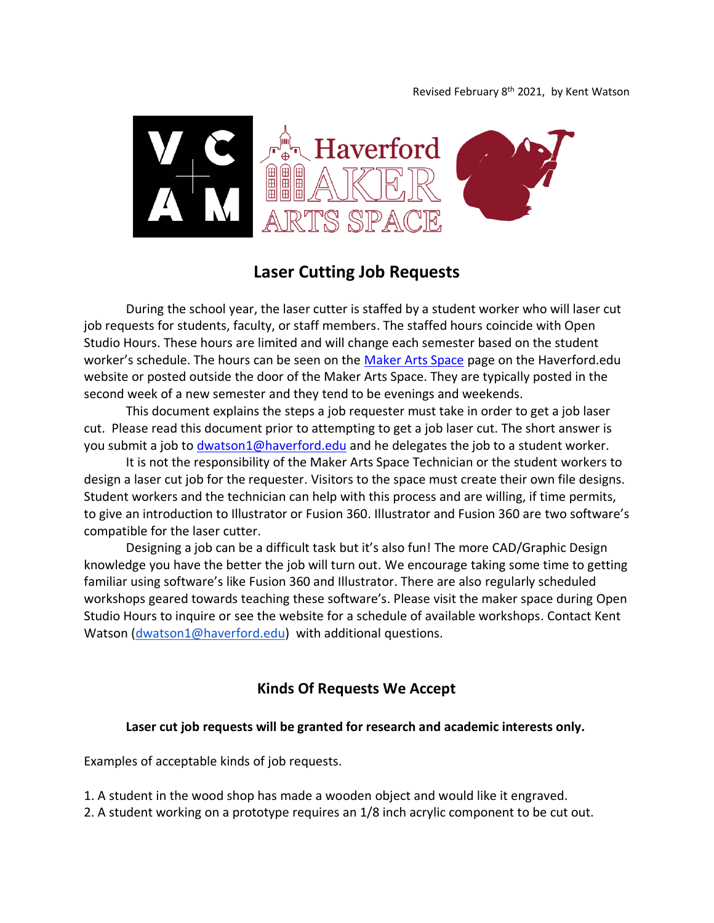

# **Laser Cutting Job Requests**

During the school year, the laser cutter is staffed by a student worker who will laser cut job requests for students, faculty, or staff members. The staffed hours coincide with Open Studio Hours. These hours are limited and will change each semester based on the student worker's schedule. The hours can be seen on the [Maker Arts Space](https://www.haverford.edu/vcam/maker-arts-space) page on the Haverford.edu website or posted outside the door of the Maker Arts Space. They are typically posted in the second week of a new semester and they tend to be evenings and weekends.

This document explains the steps a job requester must take in order to get a job laser cut. Please read this document prior to attempting to get a job laser cut. The short answer is you submit a job to [dwatson1@haverford.edu](mailto:dwatson1@haverford.edu) and he delegates the job to a student worker.

It is not the responsibility of the Maker Arts Space Technician or the student workers to design a laser cut job for the requester. Visitors to the space must create their own file designs. Student workers and the technician can help with this process and are willing, if time permits, to give an introduction to Illustrator or Fusion 360. Illustrator and Fusion 360 are two software's compatible for the laser cutter.

Designing a job can be a difficult task but it's also fun! The more CAD/Graphic Design knowledge you have the better the job will turn out. We encourage taking some time to getting familiar using software's like Fusion 360 and Illustrator. There are also regularly scheduled workshops geared towards teaching these software's. Please visit the maker space during Open Studio Hours to inquire or see the website for a schedule of available workshops. Contact Kent Watson [\(dwatson1@haverford.edu\)](mailto:dwatson1@haverford.edu) with additional questions.

## **Kinds Of Requests We Accept**

#### **Laser cut job requests will be granted for research and academic interests only.**

Examples of acceptable kinds of job requests.

- 1. A student in the wood shop has made a wooden object and would like it engraved.
- 2. A student working on a prototype requires an 1/8 inch acrylic component to be cut out.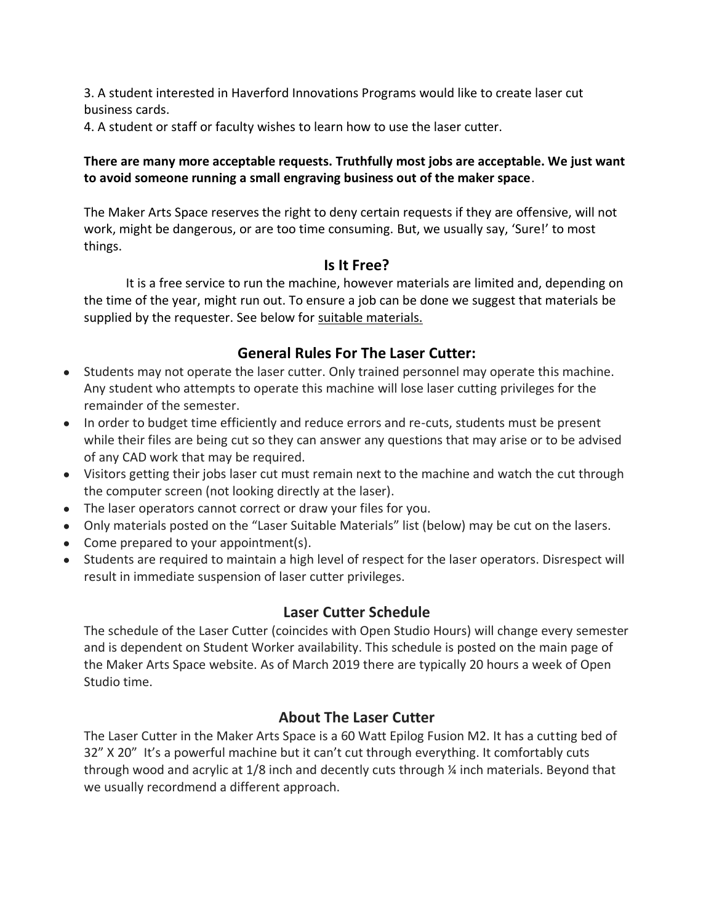3. A student interested in Haverford Innovations Programs would like to create laser cut business cards.

4. A student or staff or faculty wishes to learn how to use the laser cutter.

### **There are many more acceptable requests. Truthfully most jobs are acceptable. We just want to avoid someone running a small engraving business out of the maker space**.

The Maker Arts Space reserves the right to deny certain requests if they are offensive, will not work, might be dangerous, or are too time consuming. But, we usually say, 'Sure!' to most things.

## **Is It Free?**

It is a free service to run the machine, however materials are limited and, depending on the time of the year, might run out. To ensure a job can be done we suggest that materials be supplied by the requester. See below for suitable materials.

# **General Rules For The Laser Cutter:**

- Students may not operate the laser cutter. Only trained personnel may operate this machine. Any student who attempts to operate this machine will lose laser cutting privileges for the remainder of the semester.
- In order to budget time efficiently and reduce errors and re-cuts, students must be present while their files are being cut so they can answer any questions that may arise or to be advised of any CAD work that may be required.
- Visitors getting their jobs laser cut must remain next to the machine and watch the cut through the computer screen (not looking directly at the laser).
- The laser operators cannot correct or draw your files for you.
- Only materials posted on the "Laser Suitable Materials" list (below) may be cut on the lasers.
- Come prepared to your appointment(s).
- Students are required to maintain a high level of respect for the laser operators. Disrespect will result in immediate suspension of laser cutter privileges.

## **Laser Cutter Schedule**

The schedule of the Laser Cutter (coincides with Open Studio Hours) will change every semester and is dependent on Student Worker availability. This schedule is posted on the main page of the Maker Arts Space website. As of March 2019 there are typically 20 hours a week of Open Studio time.

## **About The Laser Cutter**

The Laser Cutter in the Maker Arts Space is a 60 Watt Epilog Fusion M2. It has a cutting bed of 32" X 20" It's a powerful machine but it can't cut through everything. It comfortably cuts through wood and acrylic at 1/8 inch and decently cuts through ¼ inch materials. Beyond that we usually recordmend a different approach.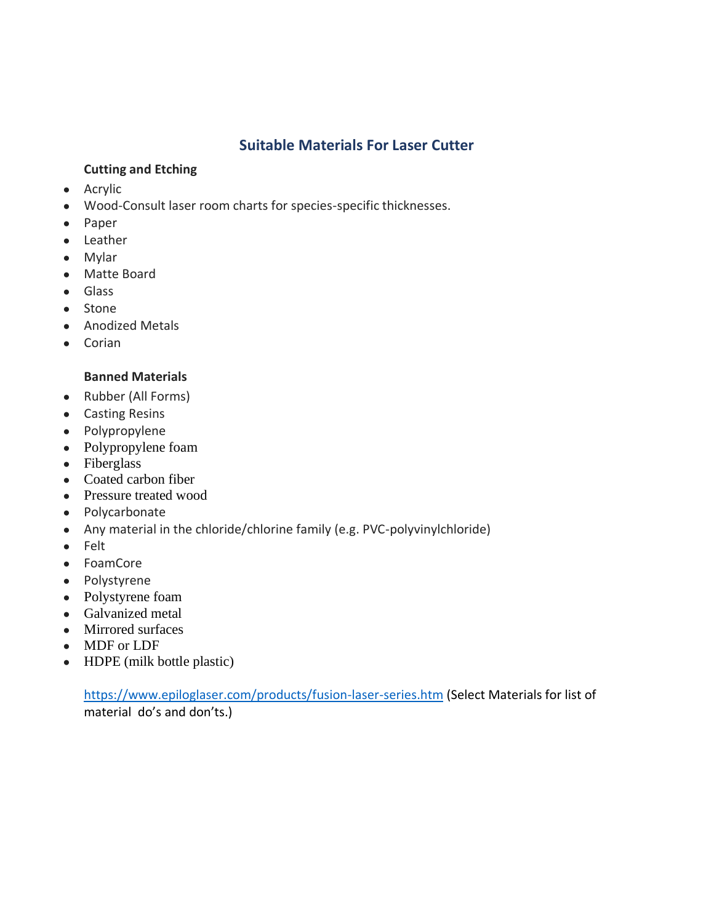## **Suitable Materials For Laser Cutter**

### **Cutting and Etching**

- Acrylic
- Wood-Consult laser room charts for species-specific thicknesses.
- Paper
- Leather
- Mylar
- Matte Board
- Glass
- Stone
- Anodized Metals
- Corian

### **Banned Materials**

- Rubber (All Forms)
- Casting Resins
- Polypropylene
- Polypropylene foam
- Fiberglass
- Coated carbon fiber
- Pressure treated wood
- Polycarbonate
- Any material in the chloride/chlorine family (e.g. PVC-polyvinylchloride)
- Felt
- FoamCore
- Polystyrene
- Polystyrene foam
- Galvanized metal
- Mirrored surfaces
- MDF or LDF
- HDPE (milk bottle plastic)

<https://www.epiloglaser.com/products/fusion-laser-series.htm> (Select Materials for list of material do's and don'ts.)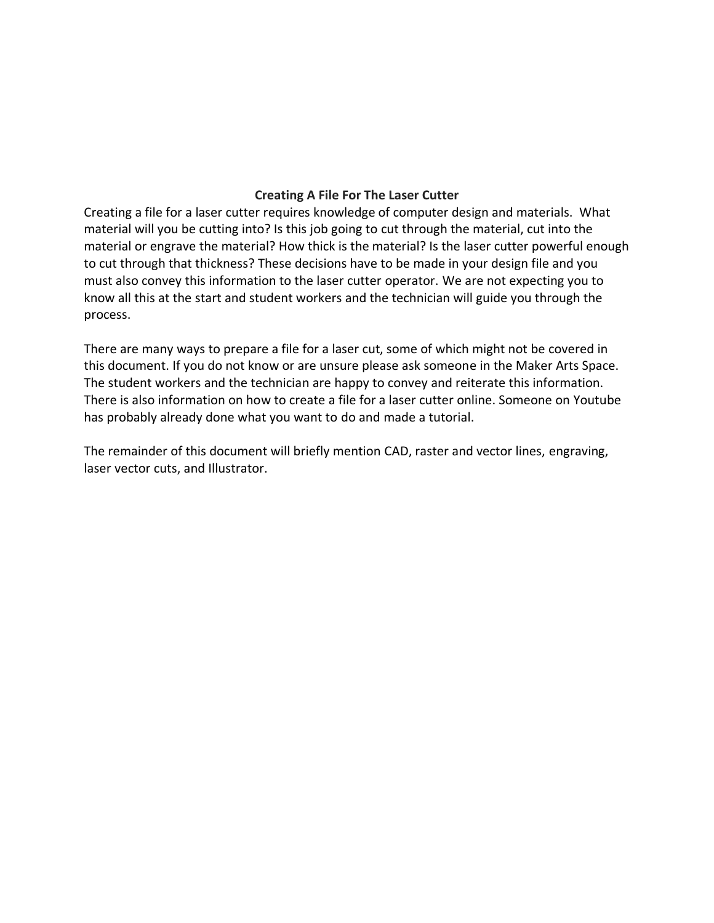### **Creating A File For The Laser Cutter**

Creating a file for a laser cutter requires knowledge of computer design and materials. What material will you be cutting into? Is this job going to cut through the material, cut into the material or engrave the material? How thick is the material? Is the laser cutter powerful enough to cut through that thickness? These decisions have to be made in your design file and you must also convey this information to the laser cutter operator. We are not expecting you to know all this at the start and student workers and the technician will guide you through the process.

There are many ways to prepare a file for a laser cut, some of which might not be covered in this document. If you do not know or are unsure please ask someone in the Maker Arts Space. The student workers and the technician are happy to convey and reiterate this information. There is also information on how to create a file for a laser cutter online. Someone on Youtube has probably already done what you want to do and made a tutorial.

The remainder of this document will briefly mention CAD, raster and vector lines, engraving, laser vector cuts, and Illustrator.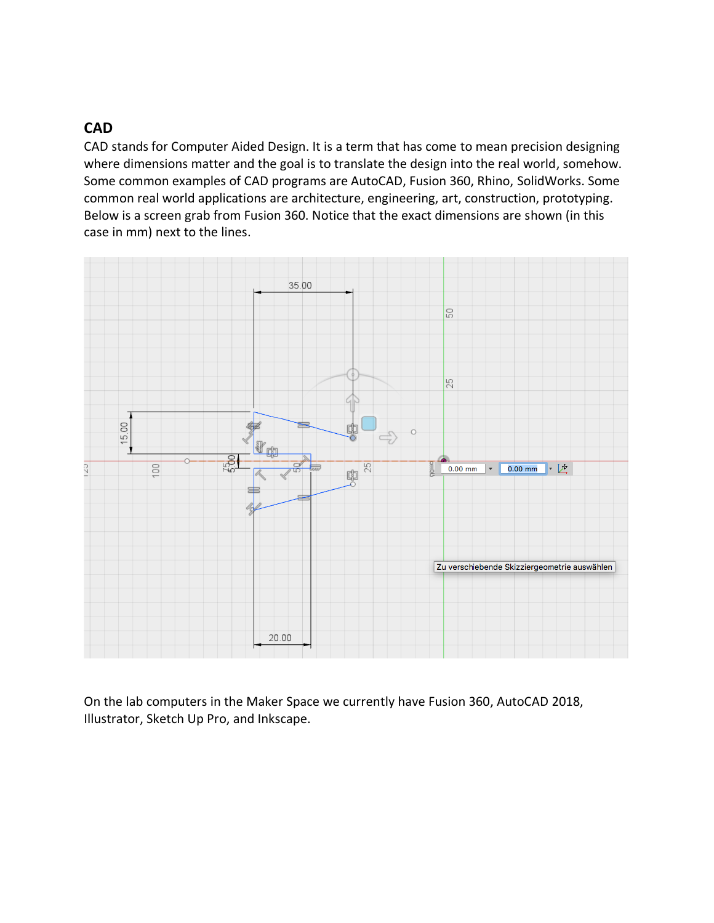# **CAD**

CAD stands for Computer Aided Design. It is a term that has come to mean precision designing where dimensions matter and the goal is to translate the design into the real world, somehow. Some common examples of CAD programs are AutoCAD, Fusion 360, Rhino, SolidWorks. Some common real world applications are architecture, engineering, art, construction, prototyping. Below is a screen grab from Fusion 360. Notice that the exact dimensions are shown (in this case in mm) next to the lines.



On the lab computers in the Maker Space we currently have Fusion 360, AutoCAD 2018, Illustrator, Sketch Up Pro, and Inkscape.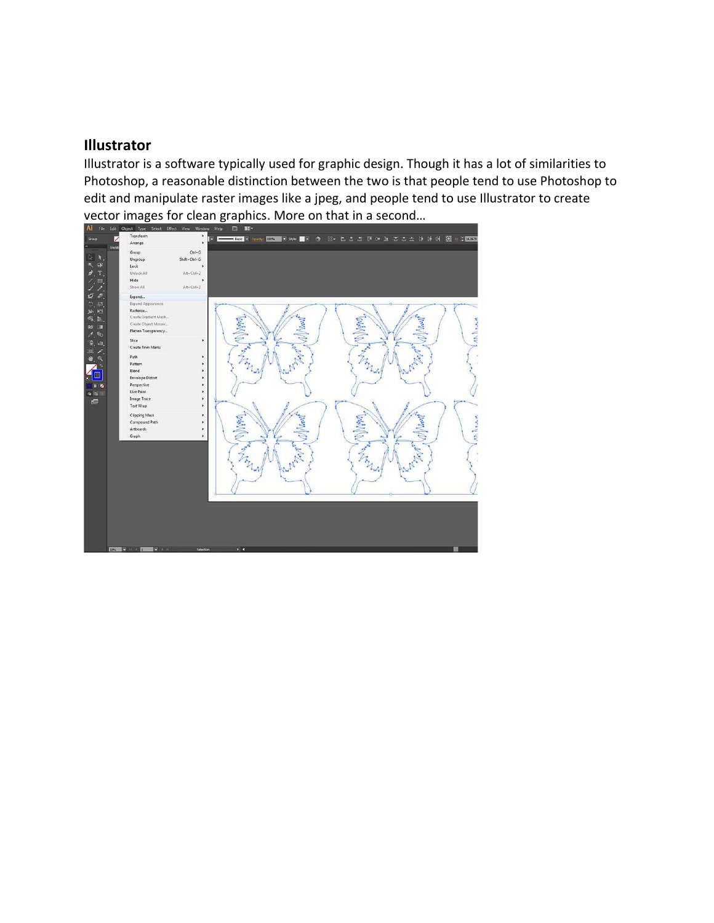### **Illustrator**

Illustrator is a software typically used for graphic design. Though it has a lot of similarities to Photoshop, a reasonable distinction between the two is that people tend to use Photoshop to edit and manipulate raster images like a jpeg, and people tend to use Illustrator to create vector images for clean graphics. More on that in a second...

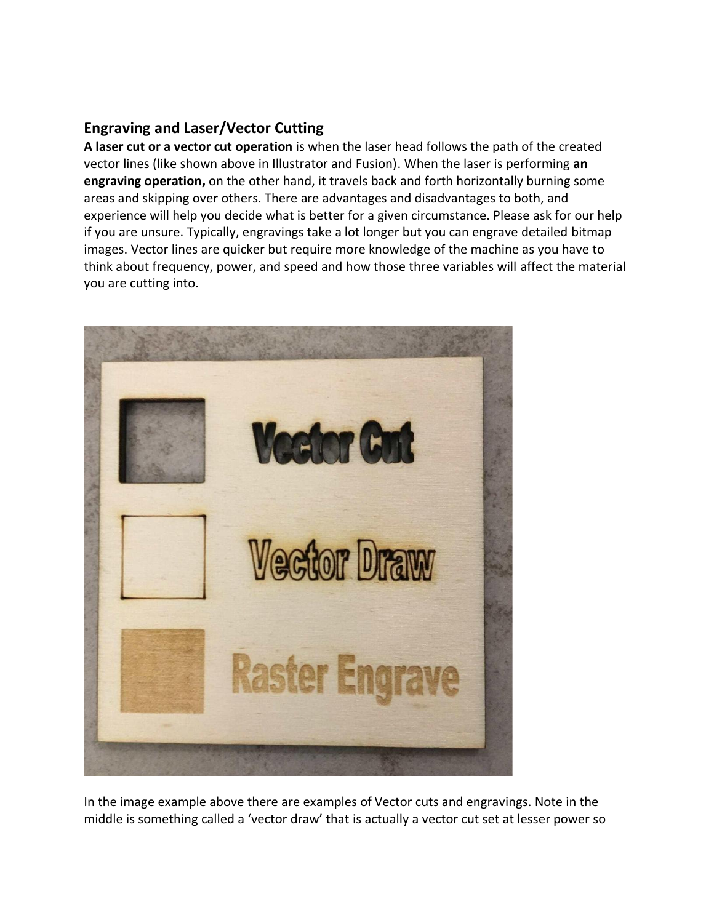# **Engraving and Laser/Vector Cutting**

**A laser cut or a vector cut operation** is when the laser head follows the path of the created vector lines (like shown above in Illustrator and Fusion). When the laser is performing **an engraving operation,** on the other hand, it travels back and forth horizontally burning some areas and skipping over others. There are advantages and disadvantages to both, and experience will help you decide what is better for a given circumstance. Please ask for our help if you are unsure. Typically, engravings take a lot longer but you can engrave detailed bitmap images. Vector lines are quicker but require more knowledge of the machine as you have to think about frequency, power, and speed and how those three variables will affect the material you are cutting into.



In the image example above there are examples of Vector cuts and engravings. Note in the middle is something called a 'vector draw' that is actually a vector cut set at lesser power so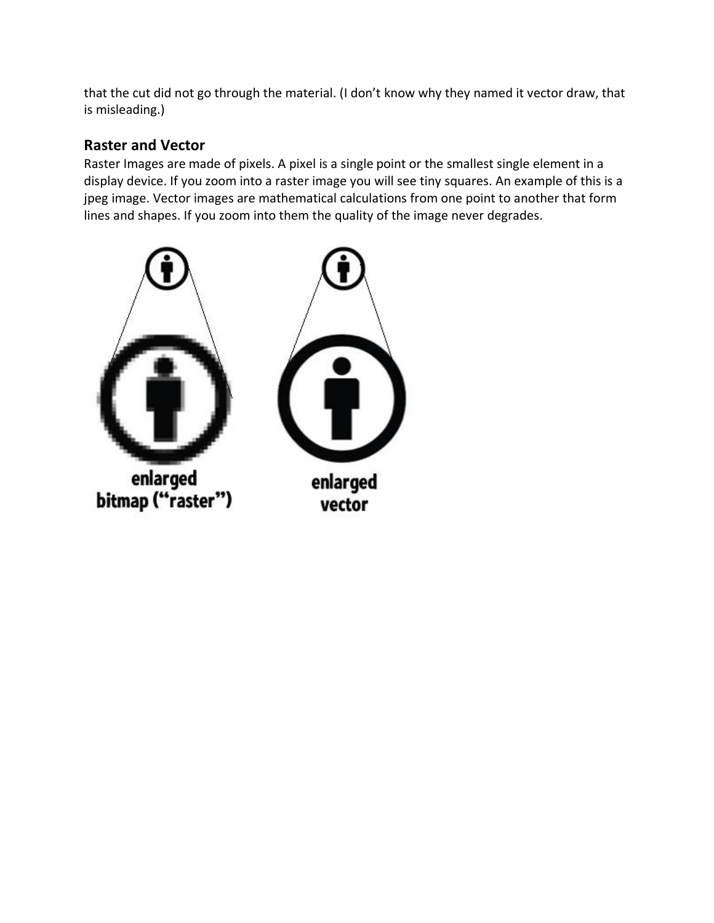that the cut did not go through the material. (I don't know why they named it vector draw, that is misleading.)

# **Raster and Vector**

Raster Images are made of pixels. A pixel is a single point or the smallest single element in a display device. If you zoom into a raster image you will see tiny squares. An example of this is a jpeg image. Vector images are mathematical calculations from one point to another that form lines and shapes. If you zoom into them the quality of the image never degrades.